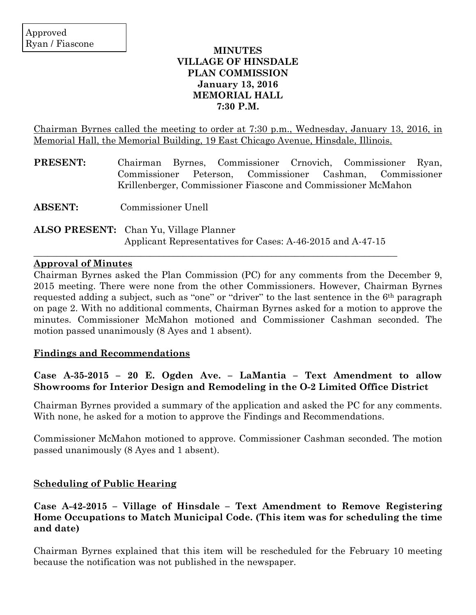#### **MINUTES VILLAGE OF HINSDALE PLAN COMMISSION January 13, 2016 MEMORIAL HALL 7:30 P.M.**

Chairman Byrnes called the meeting to order at 7:30 p.m., Wednesday, January 13, 2016, in Memorial Hall, the Memorial Building, 19 East Chicago Avenue, Hinsdale, Illinois.

| <b>PRESENT:</b> | Chairman Byrnes, Commissioner Crnovich, Commissioner Ryan,    |  |  |  |  |  |  |  |
|-----------------|---------------------------------------------------------------|--|--|--|--|--|--|--|
|                 | Commissioner Peterson, Commissioner Cashman, Commissioner     |  |  |  |  |  |  |  |
|                 | Krillenberger, Commissioner Fiascone and Commissioner McMahon |  |  |  |  |  |  |  |

**ABSENT:** Commissioner Unell

**ALSO PRESENT:** Chan Yu, Village Planner Applicant Representatives for Cases: A-46-2015 and A-47-15

 $\mathcal{L}_\mathcal{L}$  , and the contribution of the contribution of the contribution of the contribution of the contribution of the contribution of the contribution of the contribution of the contribution of the contribution of

#### **Approval of Minutes**

Chairman Byrnes asked the Plan Commission (PC) for any comments from the December 9, 2015 meeting. There were none from the other Commissioners. However, Chairman Byrnes requested adding a subject, such as "one" or "driver" to the last sentence in the 6th paragraph on page 2. With no additional comments, Chairman Byrnes asked for a motion to approve the minutes. Commissioner McMahon motioned and Commissioner Cashman seconded. The motion passed unanimously (8 Ayes and 1 absent).

#### **Findings and Recommendations**

## **Case A-35-2015 – 20 E. Ogden Ave. – LaMantia – Text Amendment to allow Showrooms for Interior Design and Remodeling in the O-2 Limited Office District**

Chairman Byrnes provided a summary of the application and asked the PC for any comments. With none, he asked for a motion to approve the Findings and Recommendations.

Commissioner McMahon motioned to approve. Commissioner Cashman seconded. The motion passed unanimously (8 Ayes and 1 absent).

## **Scheduling of Public Hearing**

## **Case A-42-2015 – Village of Hinsdale – Text Amendment to Remove Registering Home Occupations to Match Municipal Code. (This item was for scheduling the time and date)**

Chairman Byrnes explained that this item will be rescheduled for the February 10 meeting because the notification was not published in the newspaper.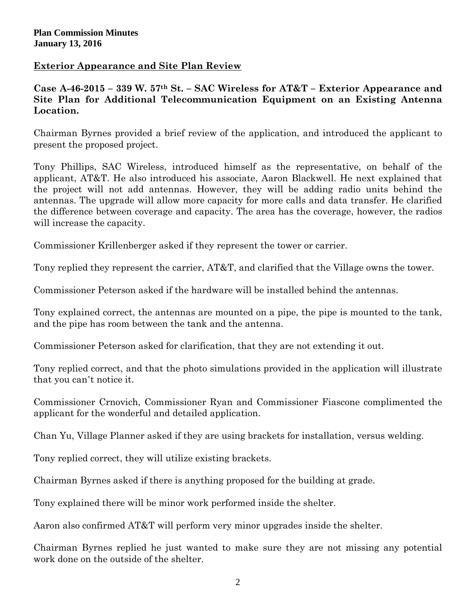## **Exterior Appearance and Site Plan Review**

# **Case A-46-2015 – 339 W. 57th St. – SAC Wireless for AT&T – Exterior Appearance and Site Plan for Additional Telecommunication Equipment on an Existing Antenna Location.**

Chairman Byrnes provided a brief review of the application, and introduced the applicant to present the proposed project.

Tony Phillips, SAC Wireless, introduced himself as the representative, on behalf of the applicant, AT&T. He also introduced his associate, Aaron Blackwell. He next explained that the project will not add antennas. However, they will be adding radio units behind the antennas. The upgrade will allow more capacity for more calls and data transfer. He clarified the difference between coverage and capacity. The area has the coverage, however, the radios will increase the capacity.

Commissioner Krillenberger asked if they represent the tower or carrier.

Tony replied they represent the carrier, AT&T, and clarified that the Village owns the tower.

Commissioner Peterson asked if the hardware will be installed behind the antennas.

Tony explained correct, the antennas are mounted on a pipe, the pipe is mounted to the tank, and the pipe has room between the tank and the antenna.

Commissioner Peterson asked for clarification, that they are not extending it out.

Tony replied correct, and that the photo simulations provided in the application will illustrate that you can't notice it.

Commissioner Crnovich, Commissioner Ryan and Commissioner Fiascone complimented the applicant for the wonderful and detailed application.

Chan Yu, Village Planner asked if they are using brackets for installation, versus welding.

Tony replied correct, they will utilize existing brackets.

Chairman Byrnes asked if there is anything proposed for the building at grade.

Tony explained there will be minor work performed inside the shelter.

Aaron also confirmed AT&T will perform very minor upgrades inside the shelter.

Chairman Byrnes replied he just wanted to make sure they are not missing any potential work done on the outside of the shelter.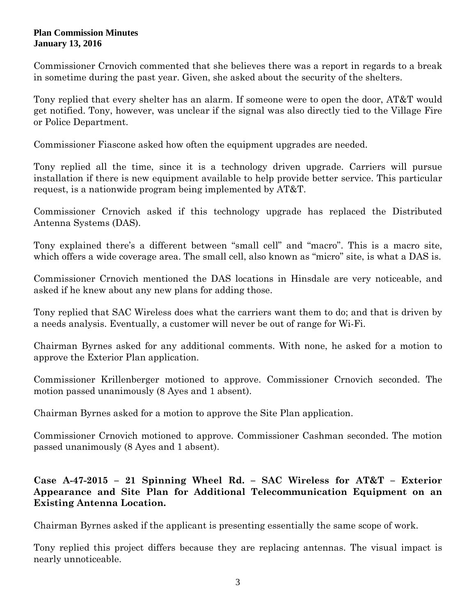#### **Plan Commission Minutes January 13, 2016**

Commissioner Crnovich commented that she believes there was a report in regards to a break in sometime during the past year. Given, she asked about the security of the shelters.

Tony replied that every shelter has an alarm. If someone were to open the door, AT&T would get notified. Tony, however, was unclear if the signal was also directly tied to the Village Fire or Police Department.

Commissioner Fiascone asked how often the equipment upgrades are needed.

Tony replied all the time, since it is a technology driven upgrade. Carriers will pursue installation if there is new equipment available to help provide better service. This particular request, is a nationwide program being implemented by AT&T.

Commissioner Crnovich asked if this technology upgrade has replaced the Distributed Antenna Systems (DAS).

Tony explained there's a different between "small cell" and "macro". This is a macro site, which offers a wide coverage area. The small cell, also known as "micro" site, is what a DAS is.

Commissioner Crnovich mentioned the DAS locations in Hinsdale are very noticeable, and asked if he knew about any new plans for adding those.

Tony replied that SAC Wireless does what the carriers want them to do; and that is driven by a needs analysis. Eventually, a customer will never be out of range for Wi-Fi.

Chairman Byrnes asked for any additional comments. With none, he asked for a motion to approve the Exterior Plan application.

Commissioner Krillenberger motioned to approve. Commissioner Crnovich seconded. The motion passed unanimously (8 Ayes and 1 absent).

Chairman Byrnes asked for a motion to approve the Site Plan application.

Commissioner Crnovich motioned to approve. Commissioner Cashman seconded. The motion passed unanimously (8 Ayes and 1 absent).

## **Case A-47-2015 – 21 Spinning Wheel Rd. – SAC Wireless for AT&T – Exterior Appearance and Site Plan for Additional Telecommunication Equipment on an Existing Antenna Location.**

Chairman Byrnes asked if the applicant is presenting essentially the same scope of work.

Tony replied this project differs because they are replacing antennas. The visual impact is nearly unnoticeable.